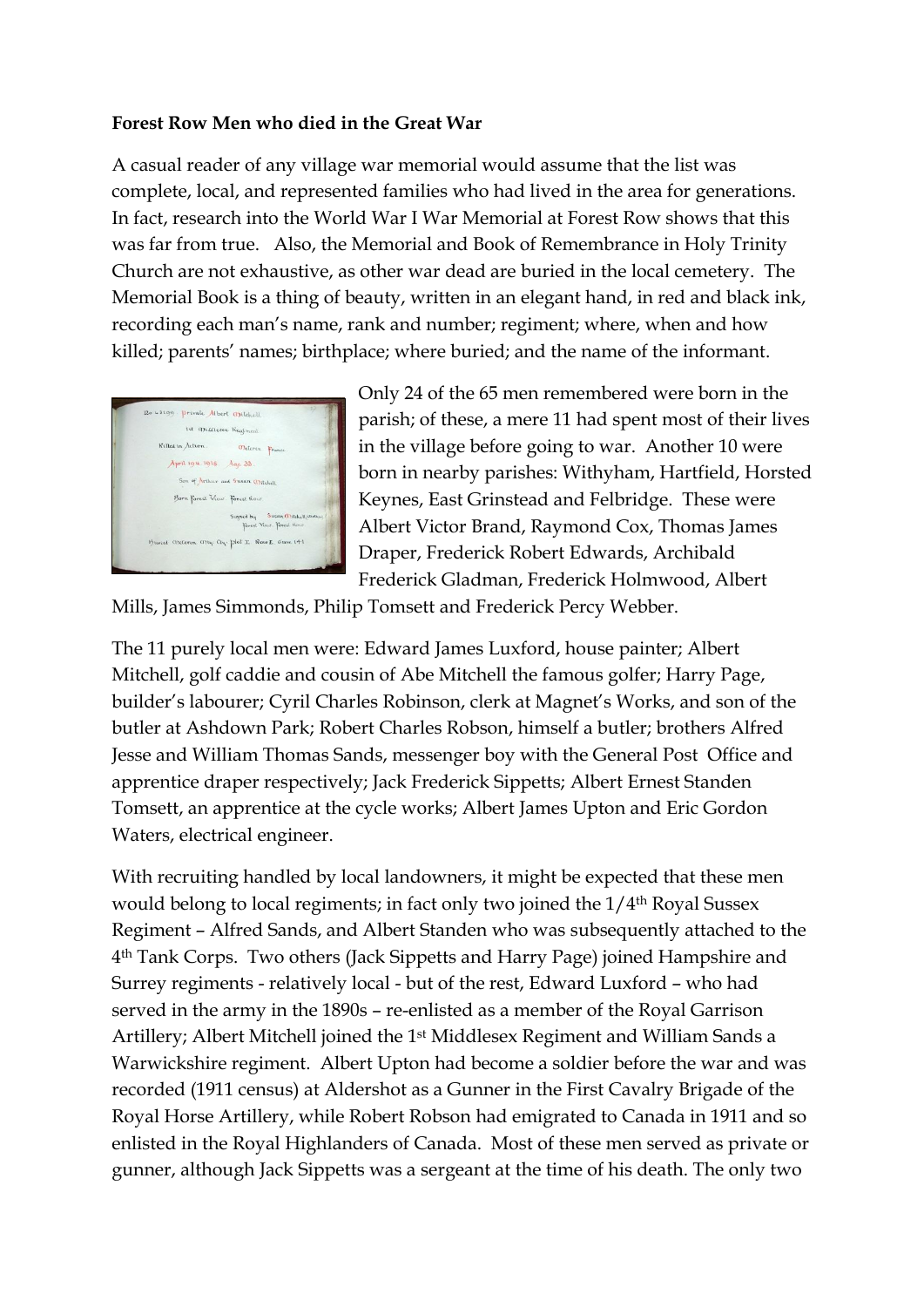## **Forest Row Men who died in the Great War**

A casual reader of any village war memorial would assume that the list was complete, local, and represented families who had lived in the area for generations. In fact, research into the World War I War Memorial at Forest Row shows that this was far from true. Also, the Memorial and Book of Remembrance in Holy Trinity Church are not exhaustive, as other war dead are buried in the local cemetery. The Memorial Book is a thing of beauty, written in an elegant hand, in red and black ink, recording each man's name, rank and number; regiment; where, when and how killed; parents' names; birthplace; where buried; and the name of the informant.



Only 24 of the 65 men remembered were born in the parish; of these, a mere 11 had spent most of their lives in the village before going to war. Another 10 were born in nearby parishes: Withyham, Hartfield, Horsted Keynes, East Grinstead and Felbridge. These were Albert Victor Brand, Raymond Cox, Thomas James Draper, Frederick Robert Edwards, Archibald Frederick Gladman, Frederick Holmwood, Albert

Mills, James Simmonds, Philip Tomsett and Frederick Percy Webber.

The 11 purely local men were: Edward James Luxford, house painter; Albert Mitchell, golf caddie and cousin of Abe Mitchell the famous golfer; Harry Page, builder's labourer; Cyril Charles Robinson, clerk at Magnet's Works, and son of the butler at Ashdown Park; Robert Charles Robson, himself a butler; brothers Alfred Jesse and William Thomas Sands, messenger boy with the General Post Office and apprentice draper respectively; Jack Frederick Sippetts; Albert Ernest Standen Tomsett, an apprentice at the cycle works; Albert James Upton and Eric Gordon Waters, electrical engineer.

With recruiting handled by local landowners, it might be expected that these men would belong to local regiments; in fact only two joined the 1/4<sup>th</sup> Royal Sussex Regiment – Alfred Sands, and Albert Standen who was subsequently attached to the 4th Tank Corps. Two others (Jack Sippetts and Harry Page) joined Hampshire and Surrey regiments - relatively local - but of the rest, Edward Luxford – who had served in the army in the 1890s – re-enlisted as a member of the Royal Garrison Artillery; Albert Mitchell joined the 1st Middlesex Regiment and William Sands a Warwickshire regiment. Albert Upton had become a soldier before the war and was recorded (1911 census) at Aldershot as a Gunner in the First Cavalry Brigade of the Royal Horse Artillery, while Robert Robson had emigrated to Canada in 1911 and so enlisted in the Royal Highlanders of Canada. Most of these men served as private or gunner, although Jack Sippetts was a sergeant at the time of his death. The only two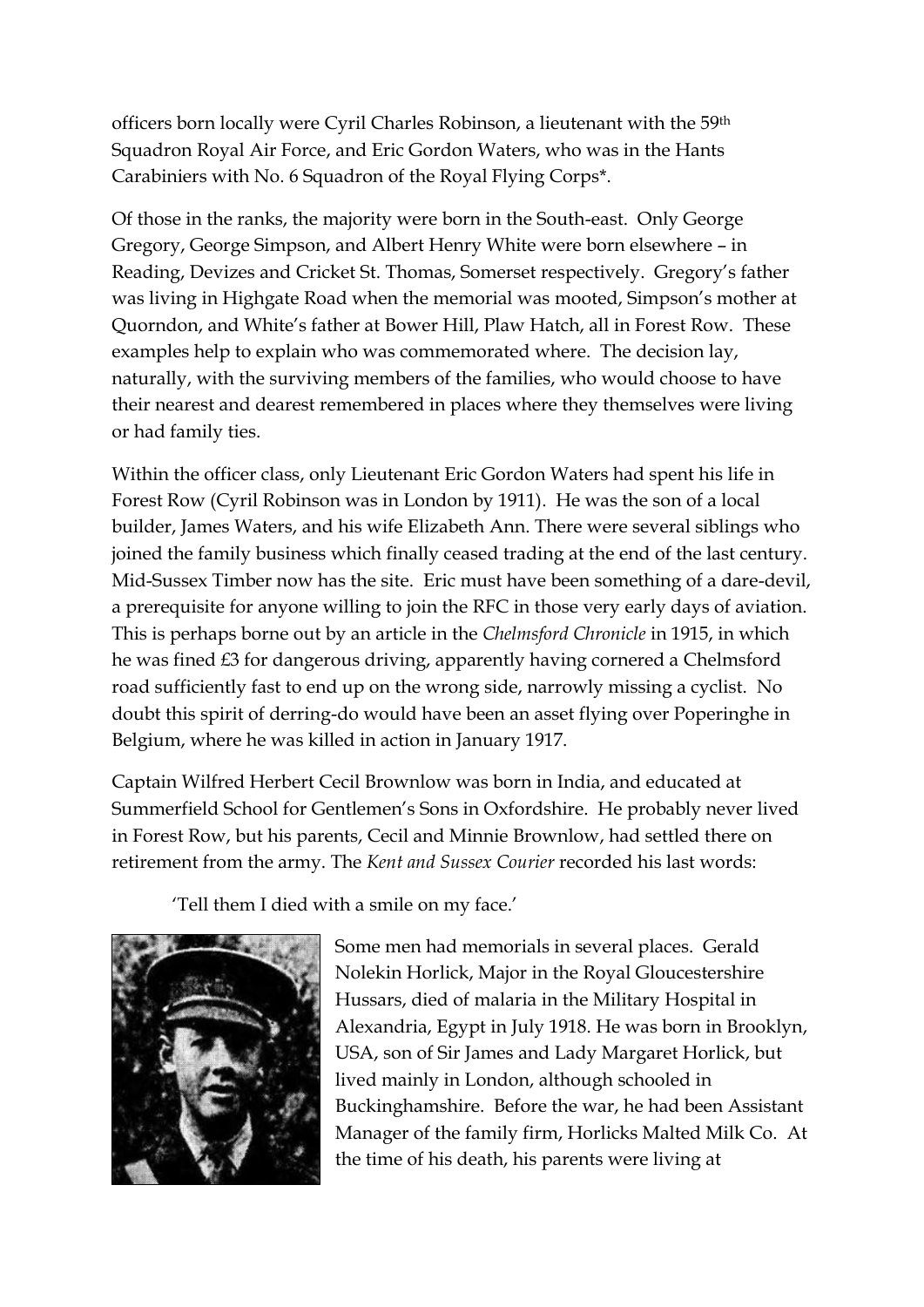officers born locally were Cyril Charles Robinson, a lieutenant with the 59th Squadron Royal Air Force, and Eric Gordon Waters, who was in the Hants Carabiniers with No. 6 Squadron of the Royal Flying Corps\*.

Of those in the ranks, the majority were born in the South-east. Only George Gregory, George Simpson, and Albert Henry White were born elsewhere – in Reading, Devizes and Cricket St. Thomas, Somerset respectively. Gregory's father was living in Highgate Road when the memorial was mooted, Simpson's mother at Quorndon, and White's father at Bower Hill, Plaw Hatch, all in Forest Row. These examples help to explain who was commemorated where. The decision lay, naturally, with the surviving members of the families, who would choose to have their nearest and dearest remembered in places where they themselves were living or had family ties.

Within the officer class, only Lieutenant Eric Gordon Waters had spent his life in Forest Row (Cyril Robinson was in London by 1911). He was the son of a local builder, James Waters, and his wife Elizabeth Ann. There were several siblings who joined the family business which finally ceased trading at the end of the last century. Mid-Sussex Timber now has the site. Eric must have been something of a dare-devil, a prerequisite for anyone willing to join the RFC in those very early days of aviation. This is perhaps borne out by an article in the *Chelmsford Chronicle* in 1915, in which he was fined £3 for dangerous driving, apparently having cornered a Chelmsford road sufficiently fast to end up on the wrong side, narrowly missing a cyclist. No doubt this spirit of derring-do would have been an asset flying over Poperinghe in Belgium, where he was killed in action in January 1917.

Captain Wilfred Herbert Cecil Brownlow was born in India, and educated at Summerfield School for Gentlemen's Sons in Oxfordshire. He probably never lived in Forest Row, but his parents, Cecil and Minnie Brownlow, had settled there on retirement from the army. The *Kent and Sussex Courier* recorded his last words:

'Tell them I died with a smile on my face.'



Some men had memorials in several places. Gerald Nolekin Horlick, Major in the Royal Gloucestershire Hussars, died of malaria in the Military Hospital in Alexandria, Egypt in July 1918. He was born in Brooklyn, USA, son of Sir James and Lady Margaret Horlick, but lived mainly in London, although schooled in Buckinghamshire. Before the war, he had been Assistant Manager of the family firm, Horlicks Malted Milk Co. At the time of his death, his parents were living at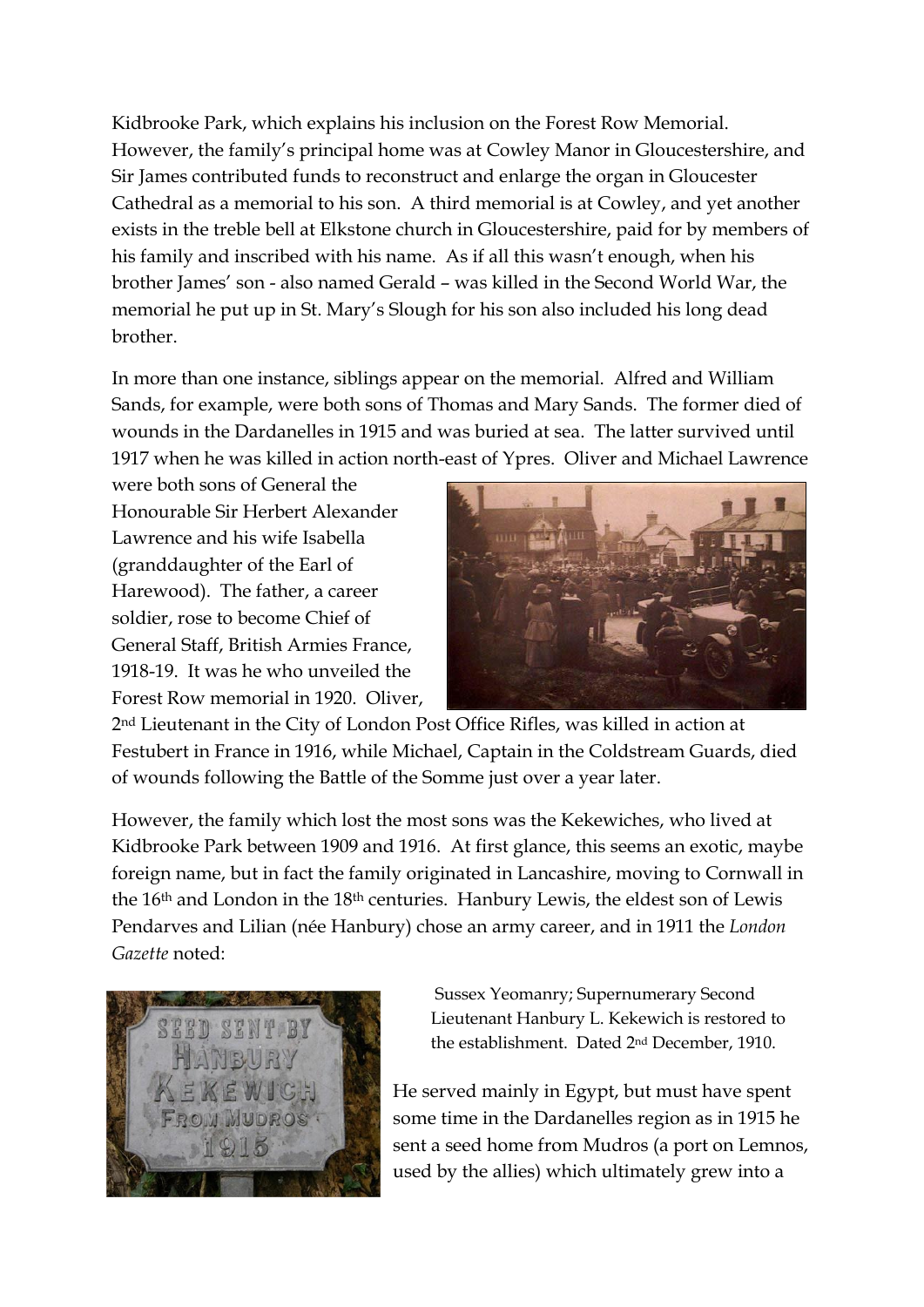Kidbrooke Park, which explains his inclusion on the Forest Row Memorial. However, the family's principal home was at Cowley Manor in Gloucestershire, and Sir James contributed funds to reconstruct and enlarge the organ in Gloucester Cathedral as a memorial to his son. A third memorial is at Cowley, and yet another exists in the treble bell at Elkstone church in Gloucestershire, paid for by members of his family and inscribed with his name. As if all this wasn't enough, when his brother James' son - also named Gerald – was killed in the Second World War, the memorial he put up in St. Mary's Slough for his son also included his long dead brother.

In more than one instance, siblings appear on the memorial. Alfred and William Sands, for example, were both sons of Thomas and Mary Sands. The former died of wounds in the Dardanelles in 1915 and was buried at sea. The latter survived until 1917 when he was killed in action north-east of Ypres. Oliver and Michael Lawrence

were both sons of General the Honourable Sir Herbert Alexander Lawrence and his wife Isabella (granddaughter of the Earl of Harewood). The father, a career soldier, rose to become Chief of General Staff, British Armies France, 1918-19. It was he who unveiled the Forest Row memorial in 1920. Oliver,



2nd Lieutenant in the City of London Post Office Rifles, was killed in action at Festubert in France in 1916, while Michael, Captain in the Coldstream Guards, died of wounds following the Battle of the Somme just over a year later.

However, the family which lost the most sons was the Kekewiches, who lived at Kidbrooke Park between 1909 and 1916. At first glance, this seems an exotic, maybe foreign name, but in fact the family originated in Lancashire, moving to Cornwall in the 16th and London in the 18th centuries. Hanbury Lewis, the eldest son of Lewis Pendarves and Lilian (née Hanbury) chose an army career, and in 1911 the *London Gazette* noted:



Sussex Yeomanry; Supernumerary Second Lieutenant Hanbury L. Kekewich is restored to the establishment. Dated 2nd December, 1910.

He served mainly in Egypt, but must have spent some time in the Dardanelles region as in 1915 he sent a seed home from Mudros (a port on Lemnos, used by the allies) which ultimately grew into a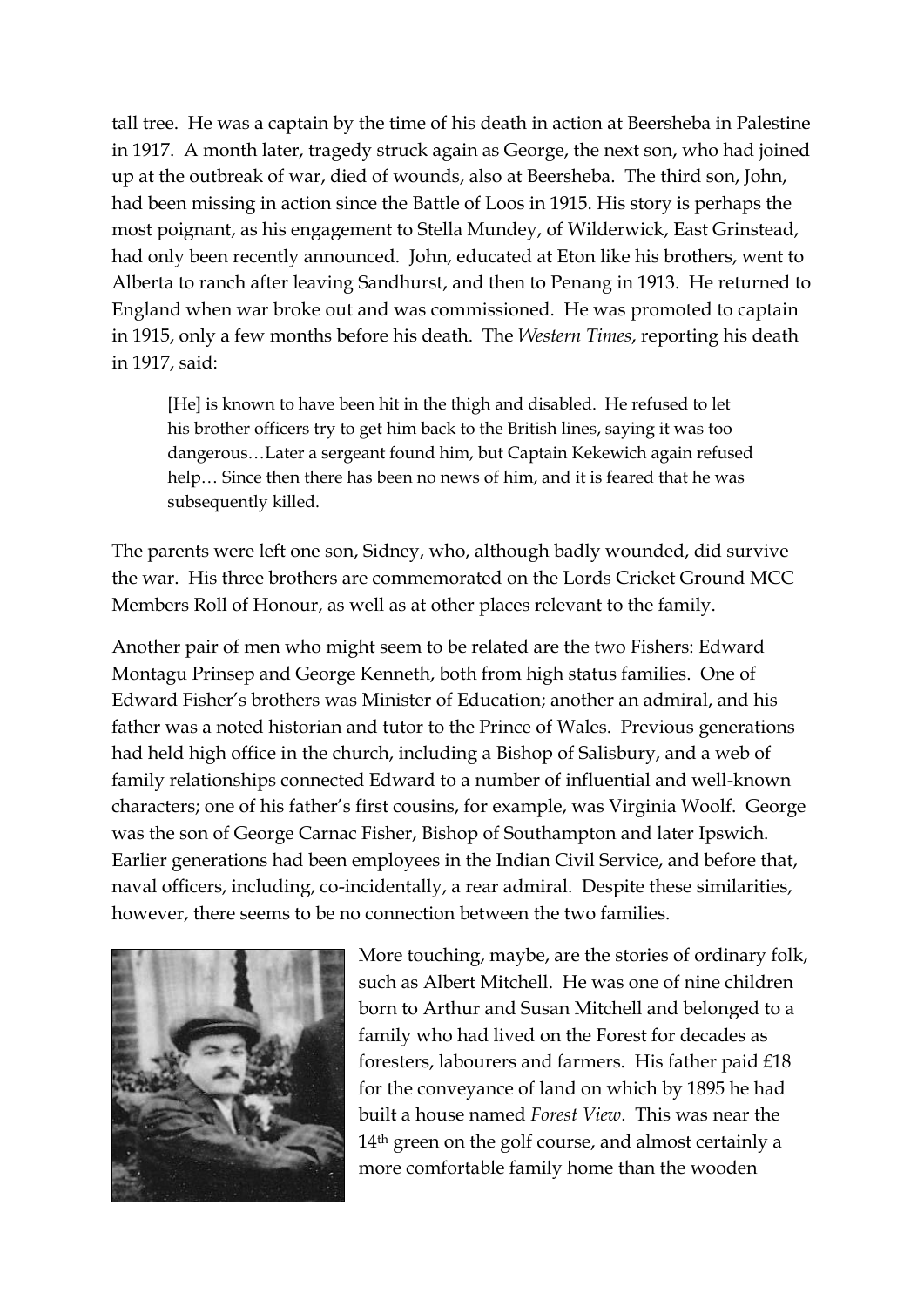tall tree. He was a captain by the time of his death in action at Beersheba in Palestine in 1917. A month later, tragedy struck again as George, the next son, who had joined up at the outbreak of war, died of wounds, also at Beersheba. The third son, John, had been missing in action since the Battle of Loos in 1915. His story is perhaps the most poignant, as his engagement to Stella Mundey, of Wilderwick, East Grinstead, had only been recently announced. John, educated at Eton like his brothers, went to Alberta to ranch after leaving Sandhurst, and then to Penang in 1913. He returned to England when war broke out and was commissioned. He was promoted to captain in 1915, only a few months before his death. The *Western Times*, reporting his death in 1917, said:

[He] is known to have been hit in the thigh and disabled. He refused to let his brother officers try to get him back to the British lines, saying it was too dangerous…Later a sergeant found him, but Captain Kekewich again refused help… Since then there has been no news of him, and it is feared that he was subsequently killed.

The parents were left one son, Sidney, who, although badly wounded, did survive the war. His three brothers are commemorated on the Lords Cricket Ground MCC Members Roll of Honour, as well as at other places relevant to the family.

Another pair of men who might seem to be related are the two Fishers: Edward Montagu Prinsep and George Kenneth, both from high status families. One of Edward Fisher's brothers was Minister of Education; another an admiral, and his father was a noted historian and tutor to the Prince of Wales. Previous generations had held high office in the church, including a Bishop of Salisbury, and a web of family relationships connected Edward to a number of influential and well-known characters; one of his father's first cousins, for example, was Virginia Woolf. George was the son of George Carnac Fisher, Bishop of Southampton and later Ipswich. Earlier generations had been employees in the Indian Civil Service, and before that, naval officers, including, co-incidentally, a rear admiral. Despite these similarities, however, there seems to be no connection between the two families.



More touching, maybe, are the stories of ordinary folk, such as Albert Mitchell. He was one of nine children born to Arthur and Susan Mitchell and belonged to a family who had lived on the Forest for decades as foresters, labourers and farmers. His father paid £18 for the conveyance of land on which by 1895 he had built a house named *Forest View*. This was near the 14<sup>th</sup> green on the golf course, and almost certainly a more comfortable family home than the wooden